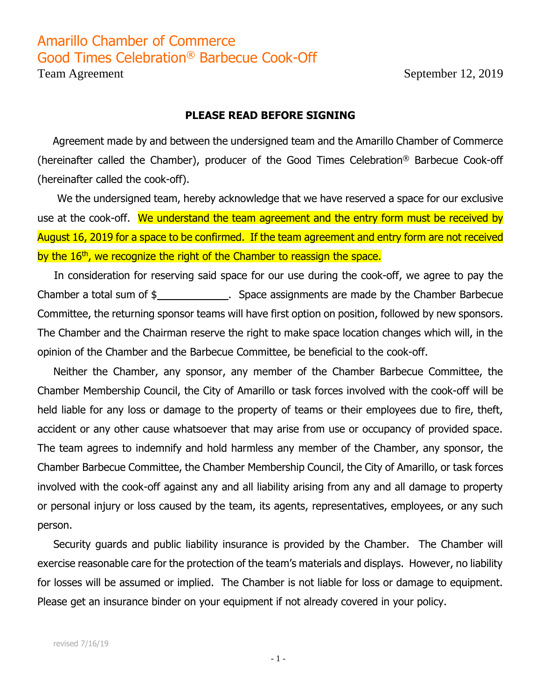## Amarillo Chamber of Commerce Good Times Celebration® Barbecue Cook-Off

Team Agreement September 12, 2019

## **PLEASE READ BEFORE SIGNING**

Agreement made by and between the undersigned team and the Amarillo Chamber of Commerce (hereinafter called the Chamber), producer of the Good Times Celebration® Barbecue Cook-off (hereinafter called the cook-off).

 We the undersigned team, hereby acknowledge that we have reserved a space for our exclusive use at the cook-off. We understand the team agreement and the entry form must be received by August 16, 2019 for a space to be confirmed. If the team agreement and entry form are not received by the 16<sup>th</sup>, we recognize the right of the Chamber to reassign the space.

 In consideration for reserving said space for our use during the cook-off, we agree to pay the Chamber a total sum of \$ . Space assignments are made by the Chamber Barbecue Committee, the returning sponsor teams will have first option on position, followed by new sponsors. The Chamber and the Chairman reserve the right to make space location changes which will, in the opinion of the Chamber and the Barbecue Committee, be beneficial to the cook-off.

Neither the Chamber, any sponsor, any member of the Chamber Barbecue Committee, the Chamber Membership Council, the City of Amarillo or task forces involved with the cook-off will be held liable for any loss or damage to the property of teams or their employees due to fire, theft, accident or any other cause whatsoever that may arise from use or occupancy of provided space. The team agrees to indemnify and hold harmless any member of the Chamber, any sponsor, the Chamber Barbecue Committee, the Chamber Membership Council, the City of Amarillo, or task forces involved with the cook-off against any and all liability arising from any and all damage to property or personal injury or loss caused by the team, its agents, representatives, employees, or any such person.

Security guards and public liability insurance is provided by the Chamber. The Chamber will exercise reasonable care for the protection of the team's materials and displays. However, no liability for losses will be assumed or implied. The Chamber is not liable for loss or damage to equipment. Please get an insurance binder on your equipment if not already covered in your policy.